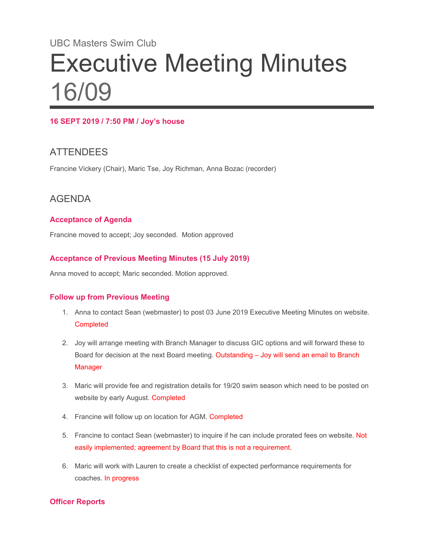# UBC Masters Swim Club Executive Meeting Minutes 16/09

#### **16 SEPT 2019 / 7:50 PM / Joy's house**

## **ATTENDEES**

Francine Vickery (Chair), Maric Tse, Joy Richman, Anna Bozac (recorder)

## AGENDA

#### **Acceptance of Agenda**

Francine moved to accept; Joy seconded. Motion approved

#### **Acceptance of Previous Meeting Minutes (15 July 2019)**

Anna moved to accept; Maric seconded. Motion approved.

#### **Follow up from Previous Meeting**

- 1. Anna to contact Sean (webmaster) to post 03 June 2019 Executive Meeting Minutes on website. **Completed**
- 2. Joy will arrange meeting with Branch Manager to discuss GIC options and will forward these to Board for decision at the next Board meeting. Outstanding – Joy will send an email to Branch **Manager**
- 3. Maric will provide fee and registration details for 19/20 swim season which need to be posted on website by early August. Completed
- 4. Francine will follow up on location for AGM. Completed
- 5. Francine to contact Sean (webmaster) to inquire if he can include prorated fees on website. Not easily implemented; agreement by Board that this is not a requirement.
- 6. Maric will work with Lauren to create a checklist of expected performance requirements for coaches. In progress

#### **Officer Reports**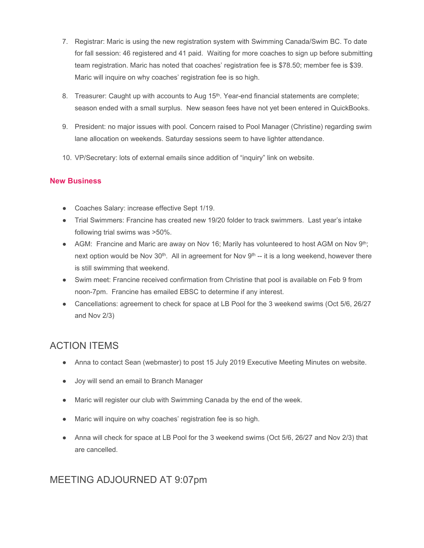- 7. Registrar: Maric is using the new registration system with Swimming Canada/Swim BC. To date for fall session: 46 registered and 41 paid. Waiting for more coaches to sign up before submitting team registration. Maric has noted that coaches' registration fee is \$78.50; member fee is \$39. Maric will inquire on why coaches' registration fee is so high.
- 8. Treasurer: Caught up with accounts to Aug 15<sup>th</sup>. Year-end financial statements are complete; season ended with a small surplus. New season fees have not yet been entered in QuickBooks.
- 9. President: no major issues with pool. Concern raised to Pool Manager (Christine) regarding swim lane allocation on weekends. Saturday sessions seem to have lighter attendance.
- 10. VP/Secretary: lots of external emails since addition of "inquiry" link on website.

#### **New Business**

- Coaches Salary: increase effective Sept 1/19.
- Trial Swimmers: Francine has created new 19/20 folder to track swimmers. Last year's intake following trial swims was >50%.
- AGM: Francine and Maric are away on Nov 16; Marily has volunteered to host AGM on Nov  $9<sup>th</sup>$ ; next option would be Nov 30<sup>th</sup>. All in agreement for Nov 9<sup>th</sup> -- it is a long weekend, however there is still swimming that weekend.
- Swim meet: Francine received confirmation from Christine that pool is available on Feb 9 from noon-7pm. Francine has emailed EBSC to determine if any interest.
- Cancellations: agreement to check for space at LB Pool for the 3 weekend swims (Oct 5/6, 26/27 and Nov 2/3)

## ACTION ITEMS

- Anna to contact Sean (webmaster) to post 15 July 2019 Executive Meeting Minutes on website.
- Joy will send an email to Branch Manager
- Maric will register our club with Swimming Canada by the end of the week.
- Maric will inquire on why coaches' registration fee is so high.
- Anna will check for space at LB Pool for the 3 weekend swims (Oct 5/6, 26/27 and Nov 2/3) that are cancelled.

### MEETING ADJOURNED AT 9:07pm